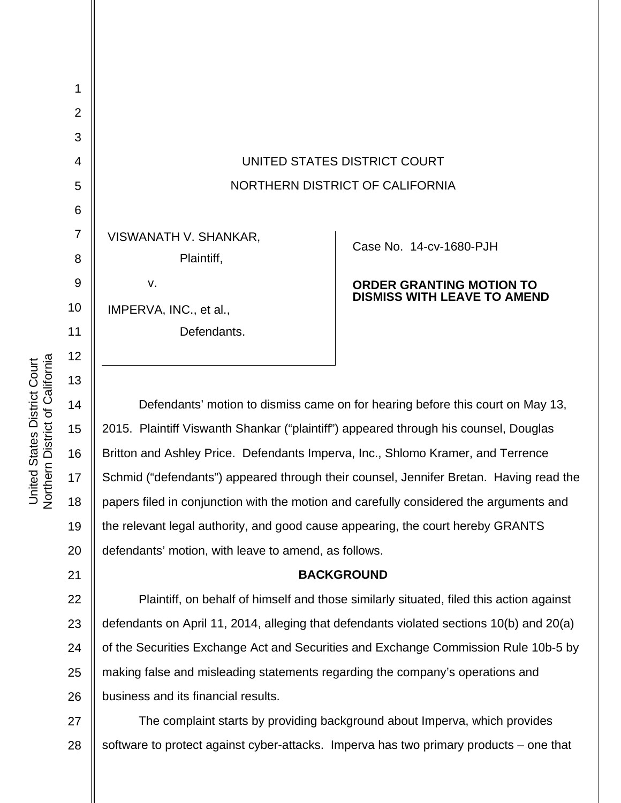| $\overline{2}$ |                                 |                                    |
|----------------|---------------------------------|------------------------------------|
| 3              |                                 |                                    |
| $\overline{4}$ | UNITED STATES DISTRICT COURT    |                                    |
| 5              | NORTHERN DISTRICT OF CALIFORNIA |                                    |
| 6              |                                 |                                    |
| $\overline{7}$ | VISWANATH V. SHANKAR,           | Case No. 14-cv-1680-PJH            |
| 8              | Plaintiff,                      |                                    |
| 9              | v.                              | <b>ORDER GRANTING MOTION TO</b>    |
| 10             | IMPERVA, INC., et al.,          | <b>DISMISS WITH LEAVE TO AMEND</b> |
| 11             | Defendants.                     |                                    |
| 12             |                                 |                                    |
| 13             |                                 |                                    |
|                |                                 |                                    |

14 15 16 17 18 19 20 Defendants' motion to dismiss came on for hearing before this court on May 13, 2015. Plaintiff Viswanth Shankar ("plaintiff") appeared through his counsel, Douglas Britton and Ashley Price. Defendants Imperva, Inc., Shlomo Kramer, and Terrence Schmid ("defendants") appeared through their counsel, Jennifer Bretan. Having read the papers filed in conjunction with the motion and carefully considered the arguments and the relevant legal authority, and good cause appearing, the court hereby GRANTS defendants' motion, with leave to amend, as follows.

## **BACKGROUND**

22 23 24 25 26 Plaintiff, on behalf of himself and those similarly situated, filed this action against defendants on April 11, 2014, alleging that defendants violated sections 10(b) and 20(a) of the Securities Exchange Act and Securities and Exchange Commission Rule 10b-5 by making false and misleading statements regarding the company's operations and business and its financial results.

27 28 The complaint starts by providing background about Imperva, which provides software to protect against cyber-attacks. Imperva has two primary products – one that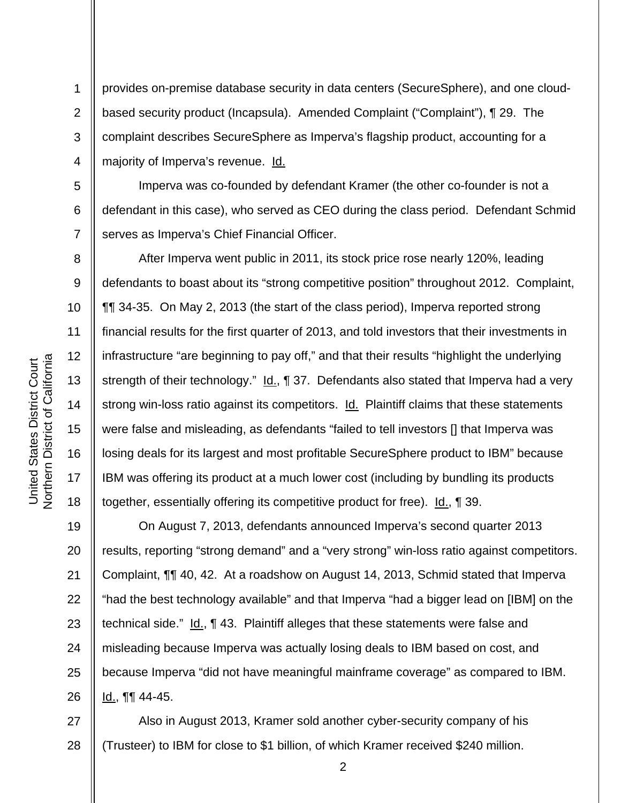1

2

3

4

5

6

7

8

9

10

11

12

13

14

15

16

17

18

provides on-premise database security in data centers (SecureSphere), and one cloudbased security product (Incapsula). Amended Complaint ("Complaint"), ¶ 29. The complaint describes SecureSphere as Imperva's flagship product, accounting for a majority of Imperva's revenue. Id.

Imperva was co-founded by defendant Kramer (the other co-founder is not a defendant in this case), who served as CEO during the class period. Defendant Schmid serves as Imperva's Chief Financial Officer.

After Imperva went public in 2011, its stock price rose nearly 120%, leading defendants to boast about its "strong competitive position" throughout 2012. Complaint, ¶¶ 34-35. On May 2, 2013 (the start of the class period), Imperva reported strong financial results for the first quarter of 2013, and told investors that their investments in infrastructure "are beginning to pay off," and that their results "highlight the underlying strength of their technology." Id., ¶ 37. Defendants also stated that Imperva had a very strong win-loss ratio against its competitors. **Id.** Plaintiff claims that these statements were false and misleading, as defendants "failed to tell investors [] that Imperva was losing deals for its largest and most profitable SecureSphere product to IBM" because IBM was offering its product at a much lower cost (including by bundling its products together, essentially offering its competitive product for free). Id., ¶ 39.

19 20 21 22 23 24 25 26 On August 7, 2013, defendants announced Imperva's second quarter 2013 results, reporting "strong demand" and a "very strong" win-loss ratio against competitors. Complaint, ¶¶ 40, 42. At a roadshow on August 14, 2013, Schmid stated that Imperva "had the best technology available" and that Imperva "had a bigger lead on [IBM] on the technical side." Id., 143. Plaintiff alleges that these statements were false and misleading because Imperva was actually losing deals to IBM based on cost, and because Imperva "did not have meaningful mainframe coverage" as compared to IBM. Id., ¶¶ 44-45.

27 28 Also in August 2013, Kramer sold another cyber-security company of his (Trusteer) to IBM for close to \$1 billion, of which Kramer received \$240 million.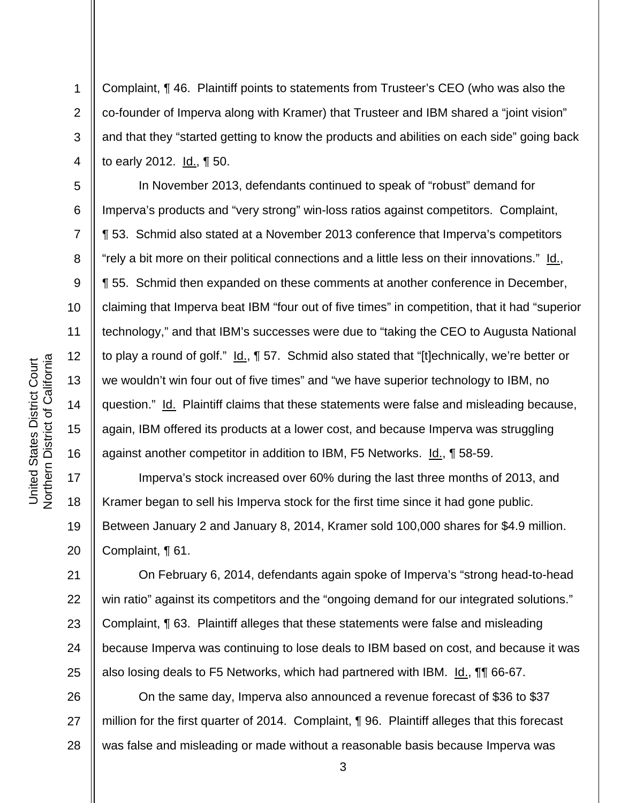1

2

3

4

5

6

7

8

9

10

11

12

13

14

15

16

17

18

19

20

21

22

23

24

25

Complaint, ¶ 46. Plaintiff points to statements from Trusteer's CEO (who was also the co-founder of Imperva along with Kramer) that Trusteer and IBM shared a "joint vision" and that they "started getting to know the products and abilities on each side" going back to early 2012. Id., ¶ 50.

In November 2013, defendants continued to speak of "robust" demand for Imperva's products and "very strong" win-loss ratios against competitors. Complaint, ¶ 53. Schmid also stated at a November 2013 conference that Imperva's competitors "rely a bit more on their political connections and a little less on their innovations." Id., ¶ 55. Schmid then expanded on these comments at another conference in December, claiming that Imperva beat IBM "four out of five times" in competition, that it had "superior technology," and that IBM's successes were due to "taking the CEO to Augusta National to play a round of golf." Id., ¶ 57. Schmid also stated that "[t]echnically, we're better or we wouldn't win four out of five times" and "we have superior technology to IBM, no question." Id. Plaintiff claims that these statements were false and misleading because, again, IBM offered its products at a lower cost, and because Imperva was struggling against another competitor in addition to IBM, F5 Networks. Id., 158-59.

Imperva's stock increased over 60% during the last three months of 2013, and Kramer began to sell his Imperva stock for the first time since it had gone public. Between January 2 and January 8, 2014, Kramer sold 100,000 shares for \$4.9 million. Complaint, ¶ 61.

On February 6, 2014, defendants again spoke of Imperva's "strong head-to-head win ratio" against its competitors and the "ongoing demand for our integrated solutions." Complaint, ¶ 63. Plaintiff alleges that these statements were false and misleading because Imperva was continuing to lose deals to IBM based on cost, and because it was also losing deals to F5 Networks, which had partnered with IBM. Id., **[1]** 66-67.

26 27 28 On the same day, Imperva also announced a revenue forecast of \$36 to \$37 million for the first quarter of 2014. Complaint, ¶ 96. Plaintiff alleges that this forecast was false and misleading or made without a reasonable basis because Imperva was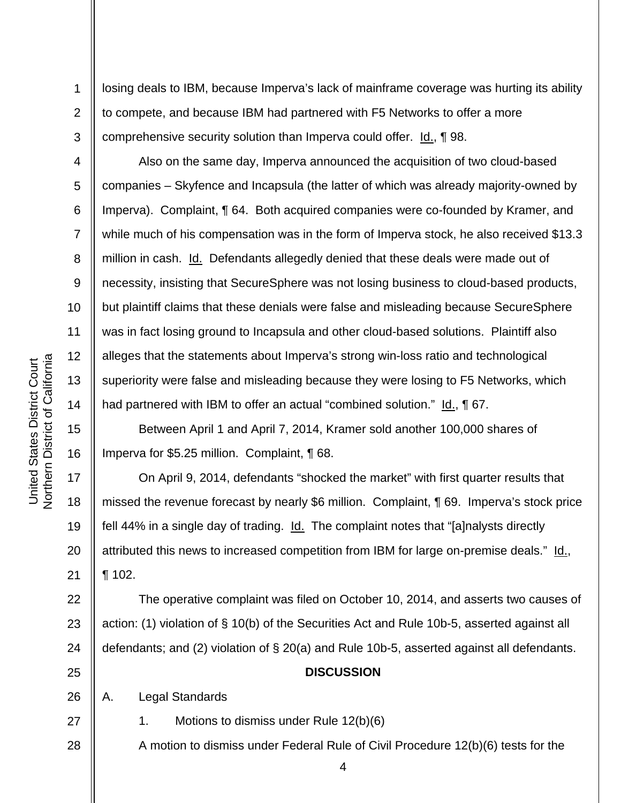1

2

3

4

5

6

7

8

9

10

11

12

13

14

15

16

17

18

19

20

21

losing deals to IBM, because Imperva's lack of mainframe coverage was hurting its ability to compete, and because IBM had partnered with F5 Networks to offer a more comprehensive security solution than Imperva could offer.  $Id_{.} \P$  98.

Also on the same day, Imperva announced the acquisition of two cloud-based companies – Skyfence and Incapsula (the latter of which was already majority-owned by Imperva). Complaint, ¶ 64. Both acquired companies were co-founded by Kramer, and while much of his compensation was in the form of Imperva stock, he also received \$13.3 million in cash. Id. Defendants allegedly denied that these deals were made out of necessity, insisting that SecureSphere was not losing business to cloud-based products, but plaintiff claims that these denials were false and misleading because SecureSphere was in fact losing ground to Incapsula and other cloud-based solutions. Plaintiff also alleges that the statements about Imperva's strong win-loss ratio and technological superiority were false and misleading because they were losing to F5 Networks, which had partnered with IBM to offer an actual "combined solution." Id., 167.

Between April 1 and April 7, 2014, Kramer sold another 100,000 shares of Imperva for \$5.25 million. Complaint, ¶ 68.

On April 9, 2014, defendants "shocked the market" with first quarter results that missed the revenue forecast by nearly \$6 million. Complaint, ¶ 69. Imperva's stock price fell 44% in a single day of trading. Id. The complaint notes that "[a]nalysts directly attributed this news to increased competition from IBM for large on-premise deals." Id., ¶ 102.

22 23 24 The operative complaint was filed on October 10, 2014, and asserts two causes of action: (1) violation of § 10(b) of the Securities Act and Rule 10b-5, asserted against all defendants; and (2) violation of § 20(a) and Rule 10b-5, asserted against all defendants.

25

27

28

## **DISCUSSION**

26 A. Legal Standards

1. Motions to dismiss under Rule 12(b)(6)

A motion to dismiss under Federal Rule of Civil Procedure 12(b)(6) tests for the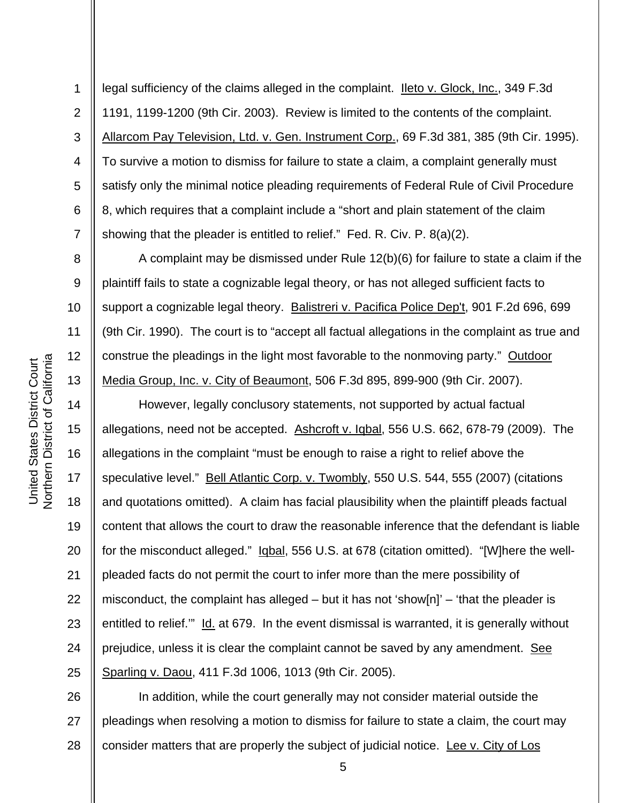6 legal sufficiency of the claims alleged in the complaint. Ileto v. Glock, Inc., 349 F.3d 1191, 1199-1200 (9th Cir. 2003). Review is limited to the contents of the complaint. Allarcom Pay Television, Ltd. v. Gen. Instrument Corp., 69 F.3d 381, 385 (9th Cir. 1995). To survive a motion to dismiss for failure to state a claim, a complaint generally must satisfy only the minimal notice pleading requirements of Federal Rule of Civil Procedure 8, which requires that a complaint include a "short and plain statement of the claim showing that the pleader is entitled to relief." Fed. R. Civ. P. 8(a)(2).

A complaint may be dismissed under Rule 12(b)(6) for failure to state a claim if the plaintiff fails to state a cognizable legal theory, or has not alleged sufficient facts to support a cognizable legal theory. Balistreri v. Pacifica Police Dep't, 901 F.2d 696, 699 (9th Cir. 1990). The court is to "accept all factual allegations in the complaint as true and construe the pleadings in the light most favorable to the nonmoving party." Outdoor Media Group, Inc. v. City of Beaumont, 506 F.3d 895, 899-900 (9th Cir. 2007).

14 20 22 23 24 25 However, legally conclusory statements, not supported by actual factual allegations, need not be accepted. Ashcroft v. Iqbal, 556 U.S. 662, 678-79 (2009). The allegations in the complaint "must be enough to raise a right to relief above the speculative level." Bell Atlantic Corp. v. Twombly, 550 U.S. 544, 555 (2007) (citations and quotations omitted). A claim has facial plausibility when the plaintiff pleads factual content that allows the court to draw the reasonable inference that the defendant is liable for the misconduct alleged." Igbal, 556 U.S. at 678 (citation omitted). "[W]here the wellpleaded facts do not permit the court to infer more than the mere possibility of misconduct, the complaint has alleged – but it has not 'show[n]' – 'that the pleader is entitled to relief." Id. at 679. In the event dismissal is warranted, it is generally without prejudice, unless it is clear the complaint cannot be saved by any amendment. See Sparling v. Daou, 411 F.3d 1006, 1013 (9th Cir. 2005).

26 27 28 In addition, while the court generally may not consider material outside the pleadings when resolving a motion to dismiss for failure to state a claim, the court may consider matters that are properly the subject of judicial notice. Lee v. City of Los

1

2

3

4

5

7

8

9

10

11

12

13

15

16

17

18

19

21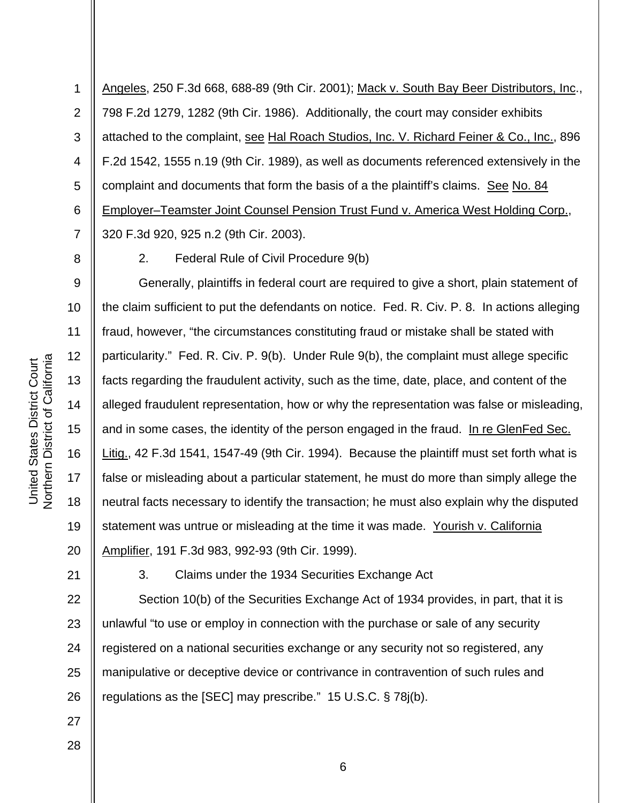1 2 3 4 5 6 7 Angeles, 250 F.3d 668, 688-89 (9th Cir. 2001); Mack v. South Bay Beer Distributors, Inc., 798 F.2d 1279, 1282 (9th Cir. 1986). Additionally, the court may consider exhibits attached to the complaint, see Hal Roach Studios, Inc. V. Richard Feiner & Co., Inc., 896 F.2d 1542, 1555 n.19 (9th Cir. 1989), as well as documents referenced extensively in the complaint and documents that form the basis of a the plaintiff's claims. See No. 84 Employer–Teamster Joint Counsel Pension Trust Fund v. America West Holding Corp., 320 F.3d 920, 925 n.2 (9th Cir. 2003).

8

2. Federal Rule of Civil Procedure 9(b)

9 10 11 12 13 14 15 16 17 18 19 20 Generally, plaintiffs in federal court are required to give a short, plain statement of the claim sufficient to put the defendants on notice. Fed. R. Civ. P. 8. In actions alleging fraud, however, "the circumstances constituting fraud or mistake shall be stated with particularity." Fed. R. Civ. P. 9(b). Under Rule 9(b), the complaint must allege specific facts regarding the fraudulent activity, such as the time, date, place, and content of the alleged fraudulent representation, how or why the representation was false or misleading, and in some cases, the identity of the person engaged in the fraud. In re GlenFed Sec. Litig., 42 F.3d 1541, 1547-49 (9th Cir. 1994). Because the plaintiff must set forth what is false or misleading about a particular statement, he must do more than simply allege the neutral facts necessary to identify the transaction; he must also explain why the disputed statement was untrue or misleading at the time it was made. Yourish v. California Amplifier, 191 F.3d 983, 992-93 (9th Cir. 1999).

21

22

3. Claims under the 1934 Securities Exchange Act

23 24 25 26 Section 10(b) of the Securities Exchange Act of 1934 provides, in part, that it is unlawful "to use or employ in connection with the purchase or sale of any security registered on a national securities exchange or any security not so registered, any manipulative or deceptive device or contrivance in contravention of such rules and regulations as the [SEC] may prescribe." 15 U.S.C. § 78j(b).

27

28

Northern District of California **Northern District of California** United States District Court United States District Court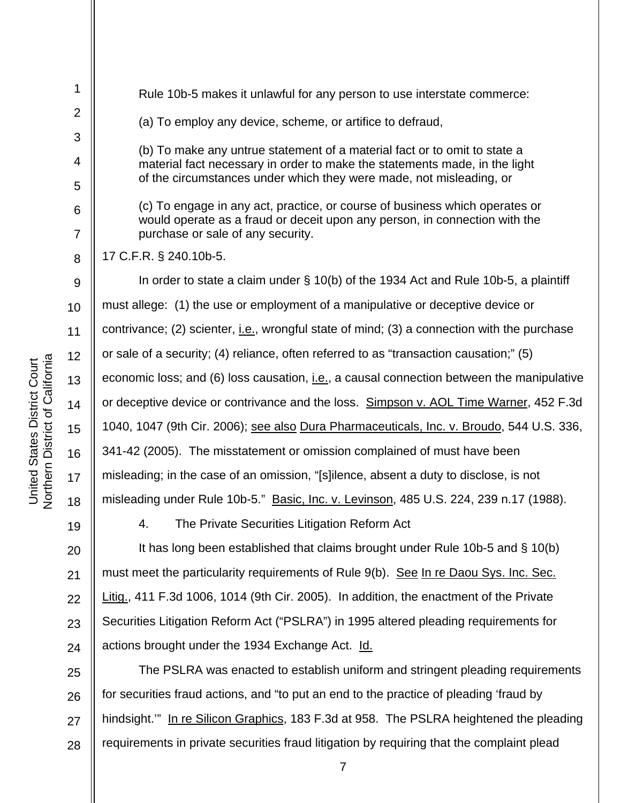1 2 3 4 5 6 7 8 9 10 11 12 13 14 15 16 17 18 19 20 21 22 23 24 25 Rule 10b-5 makes it unlawful for any person to use interstate commerce: (a) To employ any device, scheme, or artifice to defraud, (b) To make any untrue statement of a material fact or to omit to state a material fact necessary in order to make the statements made, in the light of the circumstances under which they were made, not misleading, or (c) To engage in any act, practice, or course of business which operates or would operate as a fraud or deceit upon any person, in connection with the purchase or sale of any security. 17 C.F.R. § 240.10b-5. In order to state a claim under § 10(b) of the 1934 Act and Rule 10b-5, a plaintiff must allege: (1) the use or employment of a manipulative or deceptive device or contrivance; (2) scienter, i.e., wrongful state of mind; (3) a connection with the purchase or sale of a security; (4) reliance, often referred to as "transaction causation;" (5) economic loss; and (6) loss causation, i.e., a causal connection between the manipulative or deceptive device or contrivance and the loss. Simpson v. AOL Time Warner, 452 F.3d 1040, 1047 (9th Cir. 2006); see also Dura Pharmaceuticals, Inc. v. Broudo, 544 U.S. 336, 341-42 (2005). The misstatement or omission complained of must have been misleading; in the case of an omission, "[s]ilence, absent a duty to disclose, is not misleading under Rule 10b-5." Basic, Inc. v. Levinson, 485 U.S. 224, 239 n.17 (1988). 4. The Private Securities Litigation Reform Act It has long been established that claims brought under Rule 10b-5 and § 10(b) must meet the particularity requirements of Rule 9(b). See In re Daou Sys. Inc. Sec. Litig., 411 F.3d 1006, 1014 (9th Cir. 2005). In addition, the enactment of the Private Securities Litigation Reform Act ("PSLRA") in 1995 altered pleading requirements for actions brought under the 1934 Exchange Act. Id. The PSLRA was enacted to establish uniform and stringent pleading requirements

26 27 28 for securities fraud actions, and "to put an end to the practice of pleading 'fraud by hindsight.'" In re Silicon Graphics, 183 F.3d at 958. The PSLRA heightened the pleading requirements in private securities fraud litigation by requiring that the complaint plead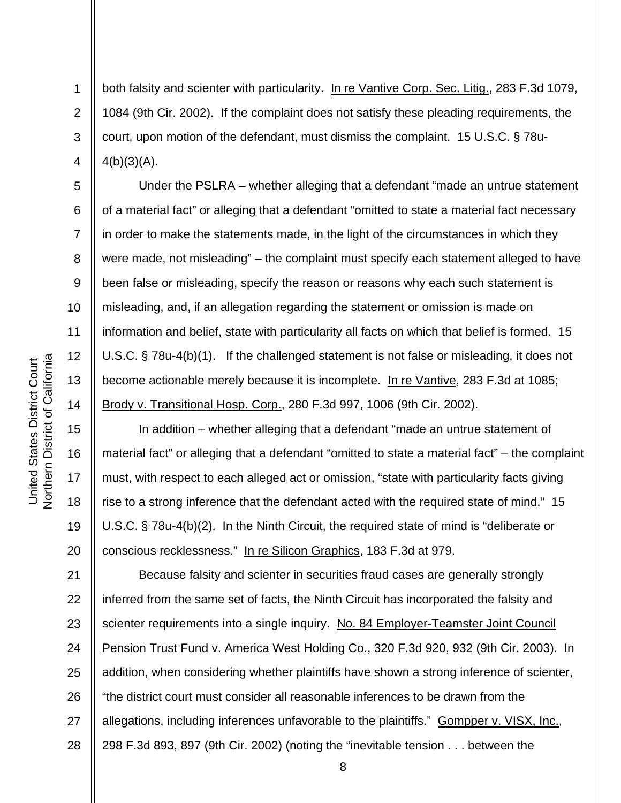2 3

4

5

6

7

8

9

10

11

12

13

14

15

16

17

18

19

20

1

both falsity and scienter with particularity. In re Vantive Corp. Sec. Litig., 283 F.3d 1079, 1084 (9th Cir. 2002). If the complaint does not satisfy these pleading requirements, the court, upon motion of the defendant, must dismiss the complaint. 15 U.S.C. § 78u- $4(b)(3)(A)$ .

Under the PSLRA – whether alleging that a defendant "made an untrue statement of a material fact" or alleging that a defendant "omitted to state a material fact necessary in order to make the statements made, in the light of the circumstances in which they were made, not misleading" – the complaint must specify each statement alleged to have been false or misleading, specify the reason or reasons why each such statement is misleading, and, if an allegation regarding the statement or omission is made on information and belief, state with particularity all facts on which that belief is formed. 15 U.S.C. § 78u-4(b)(1). If the challenged statement is not false or misleading, it does not become actionable merely because it is incomplete. In re Vantive, 283 F.3d at 1085; Brody v. Transitional Hosp. Corp., 280 F.3d 997, 1006 (9th Cir. 2002).

In addition – whether alleging that a defendant "made an untrue statement of material fact" or alleging that a defendant "omitted to state a material fact" – the complaint must, with respect to each alleged act or omission, "state with particularity facts giving rise to a strong inference that the defendant acted with the required state of mind." 15 U.S.C. § 78u-4(b)(2). In the Ninth Circuit, the required state of mind is "deliberate or conscious recklessness." In re Silicon Graphics, 183 F.3d at 979.

21 22 23 24 25 26 27 28 Because falsity and scienter in securities fraud cases are generally strongly inferred from the same set of facts, the Ninth Circuit has incorporated the falsity and scienter requirements into a single inquiry. No. 84 Employer-Teamster Joint Council Pension Trust Fund v. America West Holding Co., 320 F.3d 920, 932 (9th Cir. 2003). In addition, when considering whether plaintiffs have shown a strong inference of scienter, "the district court must consider all reasonable inferences to be drawn from the allegations, including inferences unfavorable to the plaintiffs." Gompper v. VISX, Inc., 298 F.3d 893, 897 (9th Cir. 2002) (noting the "inevitable tension . . . between the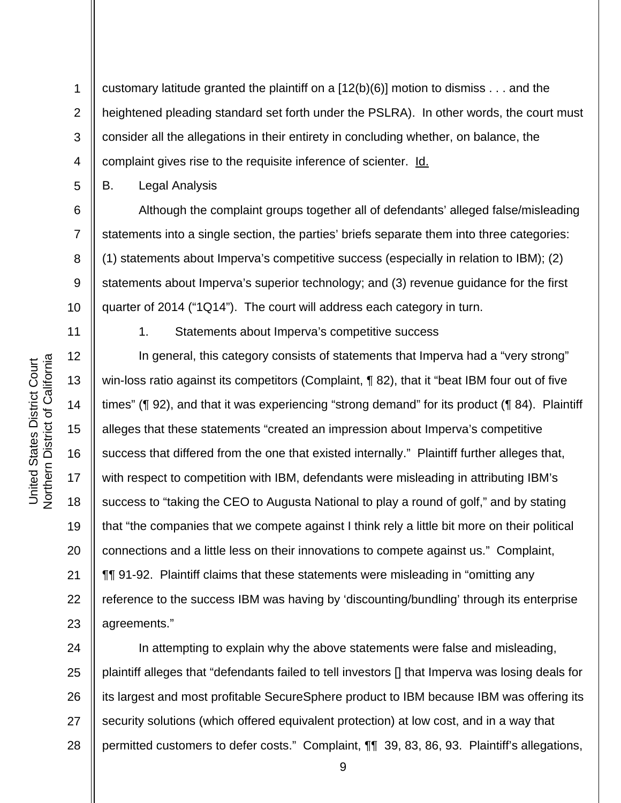1 2 3 4 customary latitude granted the plaintiff on a [12(b)(6)] motion to dismiss . . . and the heightened pleading standard set forth under the PSLRA). In other words, the court must consider all the allegations in their entirety in concluding whether, on balance, the complaint gives rise to the requisite inference of scienter. Id.

B. Legal Analysis

 Although the complaint groups together all of defendants' alleged false/misleading statements into a single section, the parties' briefs separate them into three categories: (1) statements about Imperva's competitive success (especially in relation to IBM); (2) statements about Imperva's superior technology; and (3) revenue guidance for the first quarter of 2014 ("1Q14"). The court will address each category in turn.

Northern District of California **Northern District of California** United States District Court United States District Court

5

6

7

8

9

10

11

12

13

14

15

16

17

18

19

20

21

22

23

1. Statements about Imperva's competitive success

 In general, this category consists of statements that Imperva had a "very strong" win-loss ratio against its competitors (Complaint, ¶ 82), that it "beat IBM four out of five times" (¶ 92), and that it was experiencing "strong demand" for its product (¶ 84). Plaintiff alleges that these statements "created an impression about Imperva's competitive success that differed from the one that existed internally." Plaintiff further alleges that, with respect to competition with IBM, defendants were misleading in attributing IBM's success to "taking the CEO to Augusta National to play a round of golf," and by stating that "the companies that we compete against I think rely a little bit more on their political connections and a little less on their innovations to compete against us." Complaint, ¶¶ 91-92. Plaintiff claims that these statements were misleading in "omitting any reference to the success IBM was having by 'discounting/bundling' through its enterprise agreements."

24 25 26 27 28 In attempting to explain why the above statements were false and misleading, plaintiff alleges that "defendants failed to tell investors [] that Imperva was losing deals for its largest and most profitable SecureSphere product to IBM because IBM was offering its security solutions (which offered equivalent protection) at low cost, and in a way that permitted customers to defer costs." Complaint, ¶¶ 39, 83, 86, 93. Plaintiff's allegations,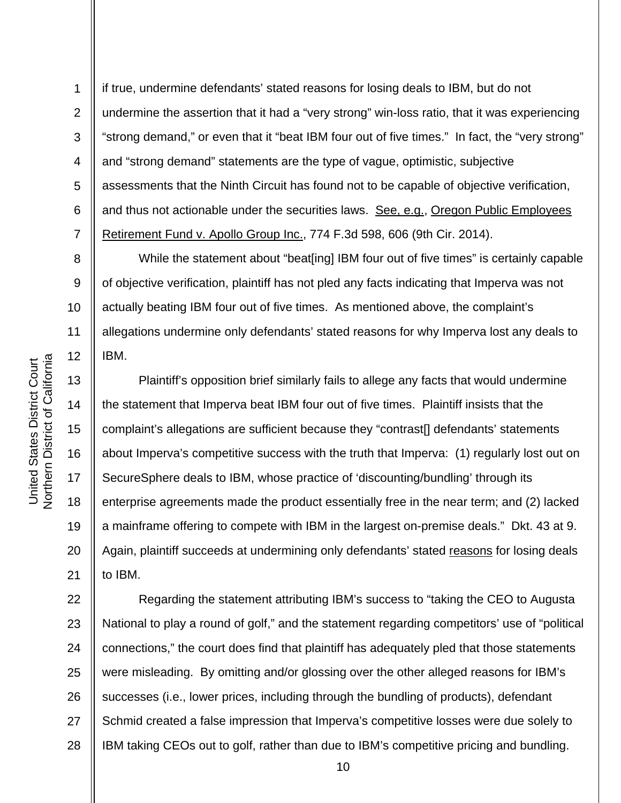8

9

10

11

12

13

14

15

16

17

18

19

20

21

1 2 3 4 5 6 7 if true, undermine defendants' stated reasons for losing deals to IBM, but do not undermine the assertion that it had a "very strong" win-loss ratio, that it was experiencing "strong demand," or even that it "beat IBM four out of five times." In fact, the "very strong" and "strong demand" statements are the type of vague, optimistic, subjective assessments that the Ninth Circuit has found not to be capable of objective verification, and thus not actionable under the securities laws. See, e.g., Oregon Public Employees Retirement Fund v. Apollo Group Inc., 774 F.3d 598, 606 (9th Cir. 2014).

While the statement about "beat[ing] IBM four out of five times" is certainly capable of objective verification, plaintiff has not pled any facts indicating that Imperva was not actually beating IBM four out of five times. As mentioned above, the complaint's allegations undermine only defendants' stated reasons for why Imperva lost any deals to IBM.

Plaintiff's opposition brief similarly fails to allege any facts that would undermine the statement that Imperva beat IBM four out of five times. Plaintiff insists that the complaint's allegations are sufficient because they "contrast[] defendants' statements about Imperva's competitive success with the truth that Imperva: (1) regularly lost out on SecureSphere deals to IBM, whose practice of 'discounting/bundling' through its enterprise agreements made the product essentially free in the near term; and (2) lacked a mainframe offering to compete with IBM in the largest on-premise deals." Dkt. 43 at 9. Again, plaintiff succeeds at undermining only defendants' stated reasons for losing deals to IBM.

22 23 24 25 26 27 28 Regarding the statement attributing IBM's success to "taking the CEO to Augusta National to play a round of golf," and the statement regarding competitors' use of "political connections," the court does find that plaintiff has adequately pled that those statements were misleading. By omitting and/or glossing over the other alleged reasons for IBM's successes (i.e., lower prices, including through the bundling of products), defendant Schmid created a false impression that Imperva's competitive losses were due solely to IBM taking CEOs out to golf, rather than due to IBM's competitive pricing and bundling.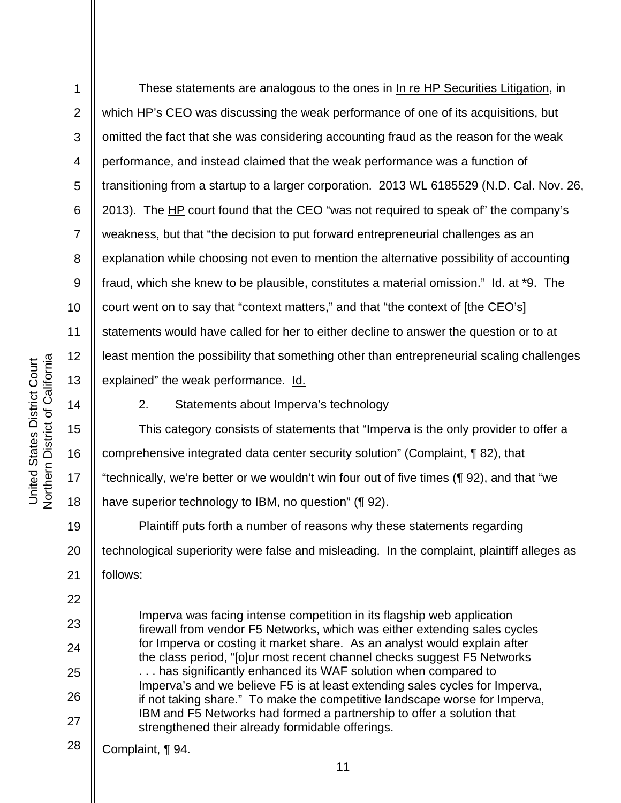4 5 6 7 8 9 10 11 Northern District of California 12 United States District Court<br>Northern District of California United States District Court 13 14 15 16 17

18

22

23

24

25

26

27

1

2

3

These statements are analogous to the ones in In re HP Securities Litigation, in which HP's CEO was discussing the weak performance of one of its acquisitions, but omitted the fact that she was considering accounting fraud as the reason for the weak performance, and instead claimed that the weak performance was a function of transitioning from a startup to a larger corporation. 2013 WL 6185529 (N.D. Cal. Nov. 26, 2013). The HP court found that the CEO "was not required to speak of" the company's weakness, but that "the decision to put forward entrepreneurial challenges as an explanation while choosing not even to mention the alternative possibility of accounting fraud, which she knew to be plausible, constitutes a material omission."  $Id$ . at \*9. The court went on to say that "context matters," and that "the context of [the CEO's] statements would have called for her to either decline to answer the question or to at least mention the possibility that something other than entrepreneurial scaling challenges explained" the weak performance. Id.

2. Statements about Imperva's technology

This category consists of statements that "Imperva is the only provider to offer a comprehensive integrated data center security solution" (Complaint, ¶ 82), that "technically, we're better or we wouldn't win four out of five times (¶ 92), and that "we have superior technology to IBM, no question" (¶ 92).

19 20 21 Plaintiff puts forth a number of reasons why these statements regarding technological superiority were false and misleading. In the complaint, plaintiff alleges as follows:

Imperva was facing intense competition in its flagship web application firewall from vendor F5 Networks, which was either extending sales cycles for Imperva or costing it market share. As an analyst would explain after the class period, "[o]ur most recent channel checks suggest F5 Networks . . . has significantly enhanced its WAF solution when compared to Imperva's and we believe F5 is at least extending sales cycles for Imperva, if not taking share." To make the competitive landscape worse for Imperva, IBM and F5 Networks had formed a partnership to offer a solution that strengthened their already formidable offerings.

28 Complaint, ¶ 94.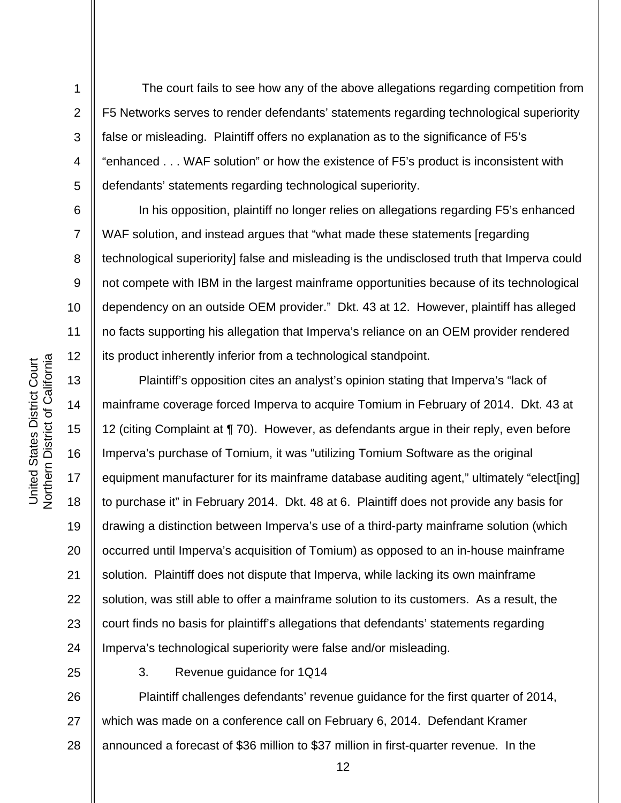The court fails to see how any of the above allegations regarding competition from F5 Networks serves to render defendants' statements regarding technological superiority false or misleading. Plaintiff offers no explanation as to the significance of F5's "enhanced . . . WAF solution" or how the existence of F5's product is inconsistent with defendants' statements regarding technological superiority.

In his opposition, plaintiff no longer relies on allegations regarding F5's enhanced WAF solution, and instead argues that "what made these statements [regarding] technological superiority] false and misleading is the undisclosed truth that Imperva could not compete with IBM in the largest mainframe opportunities because of its technological dependency on an outside OEM provider." Dkt. 43 at 12. However, plaintiff has alleged no facts supporting his allegation that Imperva's reliance on an OEM provider rendered its product inherently inferior from a technological standpoint.

Plaintiff's opposition cites an analyst's opinion stating that Imperva's "lack of mainframe coverage forced Imperva to acquire Tomium in February of 2014. Dkt. 43 at 12 (citing Complaint at ¶ 70). However, as defendants argue in their reply, even before Imperva's purchase of Tomium, it was "utilizing Tomium Software as the original equipment manufacturer for its mainframe database auditing agent," ultimately "elect[ing] to purchase it" in February 2014. Dkt. 48 at 6. Plaintiff does not provide any basis for drawing a distinction between Imperva's use of a third-party mainframe solution (which occurred until Imperva's acquisition of Tomium) as opposed to an in-house mainframe solution. Plaintiff does not dispute that Imperva, while lacking its own mainframe solution, was still able to offer a mainframe solution to its customers. As a result, the court finds no basis for plaintiff's allegations that defendants' statements regarding Imperva's technological superiority were false and/or misleading.

25 26 27 28 3. Revenue guidance for 1Q14 Plaintiff challenges defendants' revenue guidance for the first quarter of 2014, which was made on a conference call on February 6, 2014. Defendant Kramer announced a forecast of \$36 million to \$37 million in first-quarter revenue. In the

1

2

3

4

5

6

7

8

9

10

11

12

13

14

15

16

17

18

19

20

21

22

23

24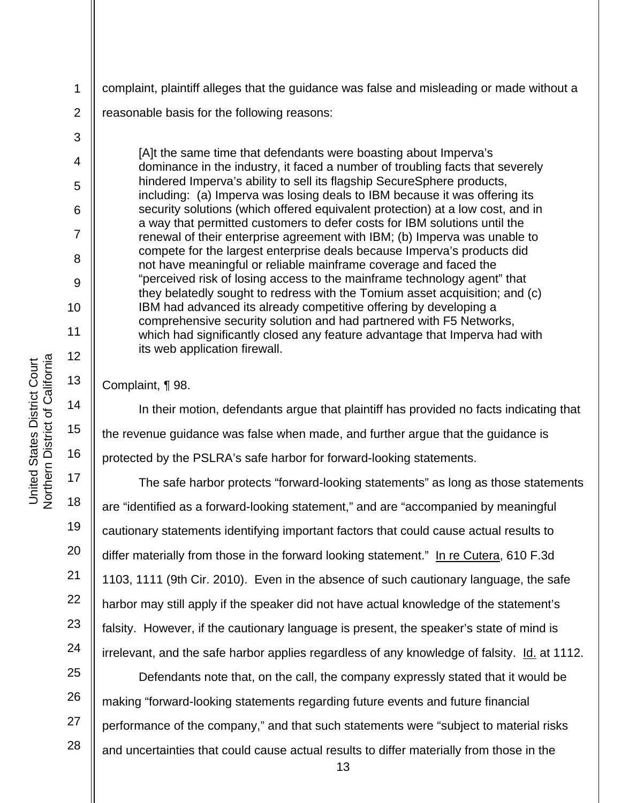complaint, plaintiff alleges that the guidance was false and misleading or made without a

reasonable basis for the following reasons:

[A]t the same time that defendants were boasting about Imperva's dominance in the industry, it faced a number of troubling facts that severely hindered Imperva's ability to sell its flagship SecureSphere products, including: (a) Imperva was losing deals to IBM because it was offering its security solutions (which offered equivalent protection) at a low cost, and in a way that permitted customers to defer costs for IBM solutions until the renewal of their enterprise agreement with IBM; (b) Imperva was unable to compete for the largest enterprise deals because Imperva's products did not have meaningful or reliable mainframe coverage and faced the "perceived risk of losing access to the mainframe technology agent" that they belatedly sought to redress with the Tomium asset acquisition; and (c) IBM had advanced its already competitive offering by developing a comprehensive security solution and had partnered with F5 Networks, which had significantly closed any feature advantage that Imperva had with its web application firewall.

Complaint, ¶ 98.

In their motion, defendants argue that plaintiff has provided no facts indicating that the revenue guidance was false when made, and further argue that the guidance is protected by the PSLRA's safe harbor for forward-looking statements.

 The safe harbor protects "forward-looking statements" as long as those statements are "identified as a forward-looking statement," and are "accompanied by meaningful cautionary statements identifying important factors that could cause actual results to differ materially from those in the forward looking statement." In re Cutera, 610 F.3d 1103, 1111 (9th Cir. 2010). Even in the absence of such cautionary language, the safe harbor may still apply if the speaker did not have actual knowledge of the statement's falsity. However, if the cautionary language is present, the speaker's state of mind is irrelevant, and the safe harbor applies regardless of any knowledge of falsity. Id. at 1112.

25 26 27 28 Defendants note that, on the call, the company expressly stated that it would be making "forward-looking statements regarding future events and future financial performance of the company," and that such statements were "subject to material risks and uncertainties that could cause actual results to differ materially from those in the

1

2

3

4

5

6

7

8

9

10

11

12

13

14

15

16

17

18

19

20

21

22

23

24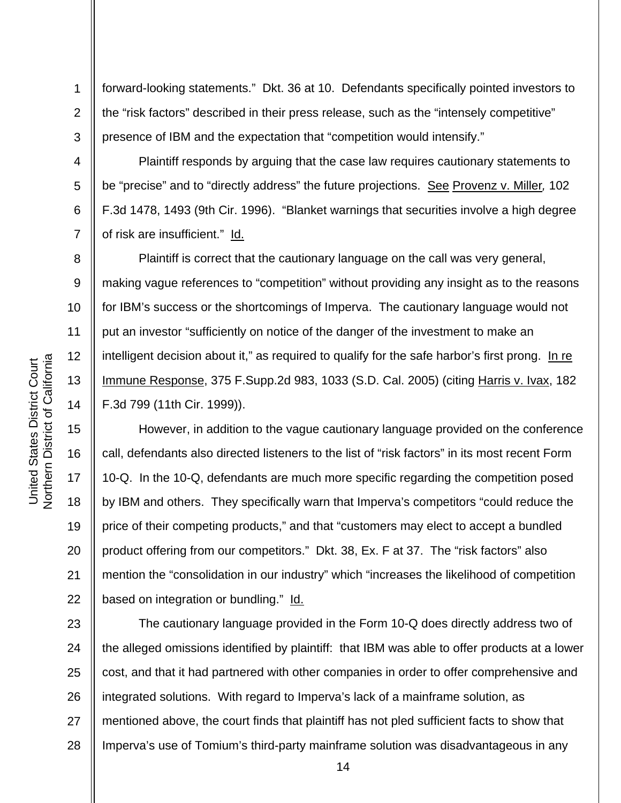4

5

6

7

8

9

10

11

12

13

14

15

16

17

18

19

20

21

22

1 2 3 forward-looking statements." Dkt. 36 at 10. Defendants specifically pointed investors to the "risk factors" described in their press release, such as the "intensely competitive" presence of IBM and the expectation that "competition would intensify."

 Plaintiff responds by arguing that the case law requires cautionary statements to be "precise" and to "directly address" the future projections. See Provenz v. Miller*,* 102 F.3d 1478, 1493 (9th Cir. 1996). "Blanket warnings that securities involve a high degree of risk are insufficient." Id.

 Plaintiff is correct that the cautionary language on the call was very general, making vague references to "competition" without providing any insight as to the reasons for IBM's success or the shortcomings of Imperva. The cautionary language would not put an investor "sufficiently on notice of the danger of the investment to make an intelligent decision about it," as required to qualify for the safe harbor's first prong. In re Immune Response, 375 F.Supp.2d 983, 1033 (S.D. Cal. 2005) (citing Harris v. Ivax, 182 F.3d 799 (11th Cir. 1999)).

 However, in addition to the vague cautionary language provided on the conference call, defendants also directed listeners to the list of "risk factors" in its most recent Form 10-Q. In the 10-Q, defendants are much more specific regarding the competition posed by IBM and others. They specifically warn that Imperva's competitors "could reduce the price of their competing products," and that "customers may elect to accept a bundled product offering from our competitors." Dkt. 38, Ex. F at 37. The "risk factors" also mention the "consolidation in our industry" which "increases the likelihood of competition based on integration or bundling." Id.

23 24 25 26 27 28 The cautionary language provided in the Form 10-Q does directly address two of the alleged omissions identified by plaintiff: that IBM was able to offer products at a lower cost, and that it had partnered with other companies in order to offer comprehensive and integrated solutions. With regard to Imperva's lack of a mainframe solution, as mentioned above, the court finds that plaintiff has not pled sufficient facts to show that Imperva's use of Tomium's third-party mainframe solution was disadvantageous in any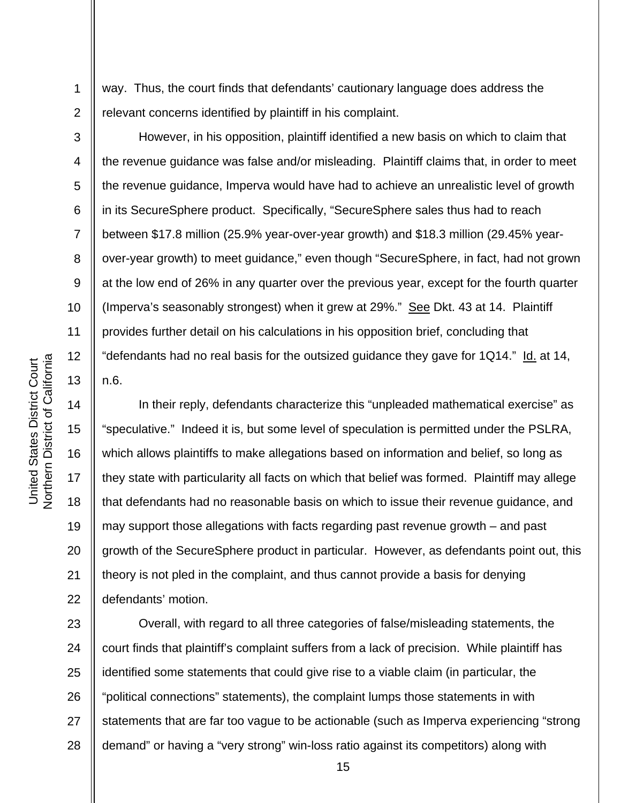way. Thus, the court finds that defendants' cautionary language does address the relevant concerns identified by plaintiff in his complaint.

 However, in his opposition, plaintiff identified a new basis on which to claim that the revenue guidance was false and/or misleading. Plaintiff claims that, in order to meet the revenue guidance, Imperva would have had to achieve an unrealistic level of growth in its SecureSphere product. Specifically, "SecureSphere sales thus had to reach between \$17.8 million (25.9% year-over-year growth) and \$18.3 million (29.45% yearover-year growth) to meet guidance," even though "SecureSphere, in fact, had not grown at the low end of 26% in any quarter over the previous year, except for the fourth quarter (Imperva's seasonably strongest) when it grew at 29%." See Dkt. 43 at 14. Plaintiff provides further detail on his calculations in his opposition brief, concluding that "defendants had no real basis for the outsized guidance they gave for 1Q14." Id. at 14, n.6.

 In their reply, defendants characterize this "unpleaded mathematical exercise" as "speculative." Indeed it is, but some level of speculation is permitted under the PSLRA, which allows plaintiffs to make allegations based on information and belief, so long as they state with particularity all facts on which that belief was formed. Plaintiff may allege that defendants had no reasonable basis on which to issue their revenue guidance, and may support those allegations with facts regarding past revenue growth – and past growth of the SecureSphere product in particular. However, as defendants point out, this theory is not pled in the complaint, and thus cannot provide a basis for denying defendants' motion.

23 24 25 26 27 28 Overall, with regard to all three categories of false/misleading statements, the court finds that plaintiff's complaint suffers from a lack of precision. While plaintiff has identified some statements that could give rise to a viable claim (in particular, the "political connections" statements), the complaint lumps those statements in with statements that are far too vague to be actionable (such as Imperva experiencing "strong demand" or having a "very strong" win-loss ratio against its competitors) along with

1

2

3

4

5

6

7

8

9

10

11

12

13

14

15

16

17

18

19

20

21

22